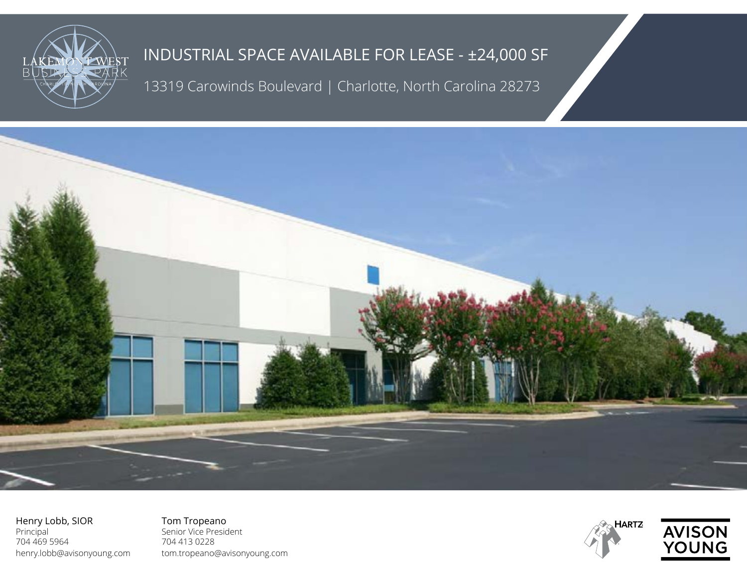

13319 Carowinds Boulevard | Charlotte, North Carolina 28273



Henry Lobb, SIOR Principal 704 469 5964 henry.lobb@avisonyoung.com

Tom Tropeano Senior Vice President 704 413 0228 tom.tropeano@avisonyoung.com



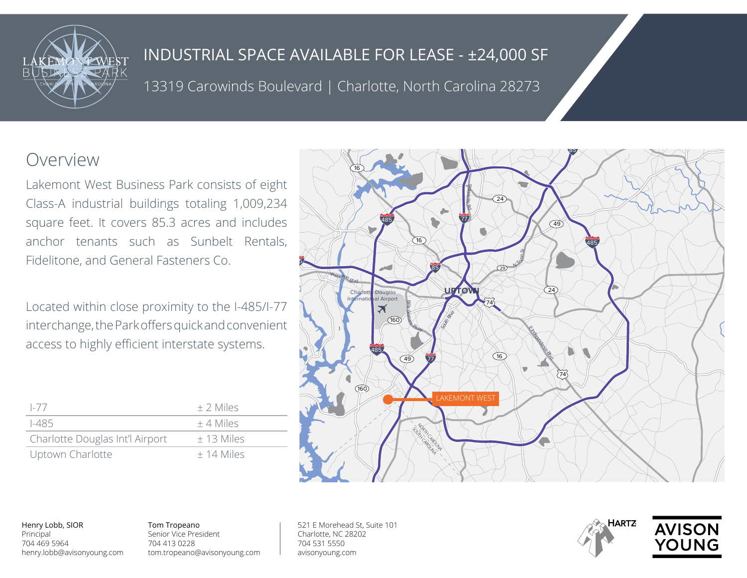

13319 Carowinds Boulevard | Charlotte, North Carolina 28273

# Overview

Lakemont West Business Park consists of eight Class-A industrial buildings totaling 1,009,234 square feet. It covers 85.3 acres and includes anchor tenants such as Sunbelt Rentals, Fidelitone, and General Fasteners Co.

Located within close proximity to the I-485/I-77 interchange, the Park offers quick and convenient access to highly efficient interstate systems.

| $-$ / /                         | $+2$ Miles   |
|---------------------------------|--------------|
| 1-485                           | $+4$ Miles   |
| Charlotte Douglas Int'l Airport | $± 13$ Miles |
| Uptown Charlotte                | $+14$ Miles  |



Henry Lobb, SIOR Principal 704 469 5964 henry.lobb@avisonyoung.com Tom Tropeano Senior Vice President 704 413 0228 tom.tropeano@avisonyoung.com 521 E Morehead St, Suite 101 Charlotte, NC 28202 704 531 5550 avisonyoung.com



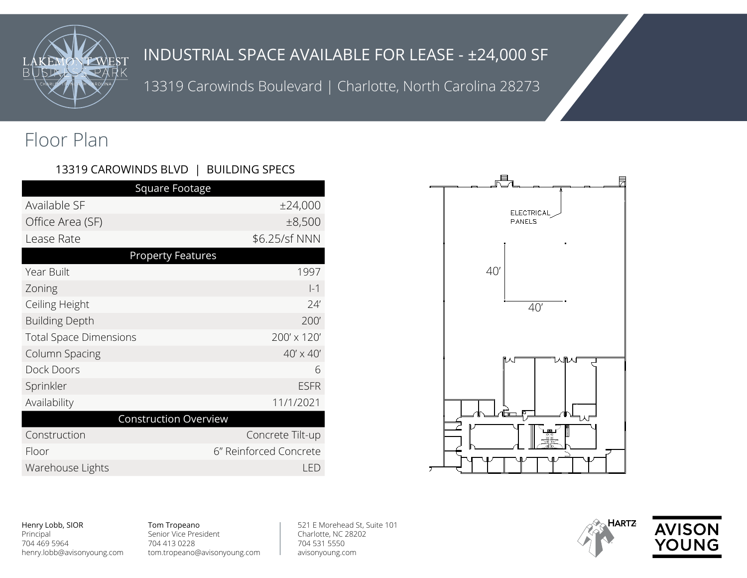

13319 Carowinds Boulevard | Charlotte, North Carolina 28273

# Floor Plan

### 13319 CAROWINDS BLVD | BUILDING SPECS

| Square Footage                |                        |
|-------------------------------|------------------------|
| Available SF                  | ±24,000                |
| Office Area (SF)              | ±8,500                 |
| Lease Rate                    | \$6.25/sf NNN          |
| <b>Property Features</b>      |                        |
| Year Built                    | 1997                   |
| Zoning                        | $ -1$                  |
| Ceiling Height                | 24'                    |
| <b>Building Depth</b>         | 200'                   |
| <b>Total Space Dimensions</b> | 200' x 120'            |
| Column Spacing                | $40' \times 40'$       |
| Dock Doors                    | 6                      |
| Sprinkler                     | <b>ESFR</b>            |
| Availability                  | 11/1/2021              |
| <b>Construction Overview</b>  |                        |
| Construction                  | Concrete Tilt-up       |
| Floor                         | 6" Reinforced Concrete |
| Warehouse Lights              | <b>LED</b>             |





#### Tom Tropeano Senior Vice President 704 413 0228 tom.tropeano@avisonyoung.com

521 E Morehead St, Suite 101 Charlotte, NC 28202 704 531 5550 avisonyoung.com